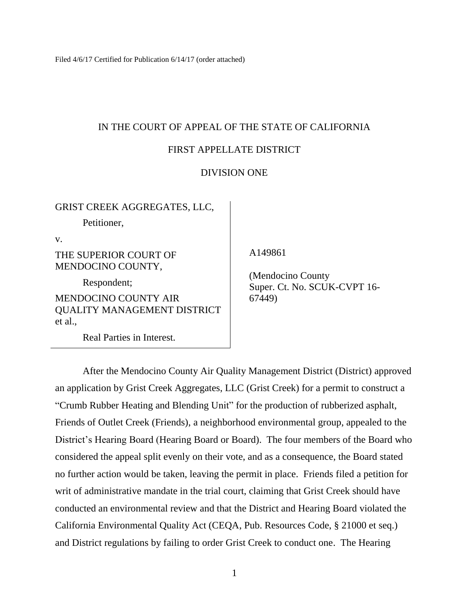Filed 4/6/17 Certified for Publication 6/14/17 (order attached)

## IN THE COURT OF APPEAL OF THE STATE OF CALIFORNIA

## FIRST APPELLATE DISTRICT

## DIVISION ONE

GRIST CREEK AGGREGATES, LLC,

Petitioner,

v.

## THE SUPERIOR COURT OF MENDOCINO COUNTY,

Respondent;

MENDOCINO COUNTY AIR QUALITY MANAGEMENT DISTRICT et al.,

Real Parties in Interest.

A149861

 (Mendocino County Super. Ct. No. SCUK-CVPT 16- 67449)

After the Mendocino County Air Quality Management District (District) approved an application by Grist Creek Aggregates, LLC (Grist Creek) for a permit to construct a "Crumb Rubber Heating and Blending Unit" for the production of rubberized asphalt, Friends of Outlet Creek (Friends), a neighborhood environmental group, appealed to the District's Hearing Board (Hearing Board or Board). The four members of the Board who considered the appeal split evenly on their vote, and as a consequence, the Board stated no further action would be taken, leaving the permit in place. Friends filed a petition for writ of administrative mandate in the trial court, claiming that Grist Creek should have conducted an environmental review and that the District and Hearing Board violated the California Environmental Quality Act (CEQA, Pub. Resources Code, § 21000 et seq.) and District regulations by failing to order Grist Creek to conduct one. The Hearing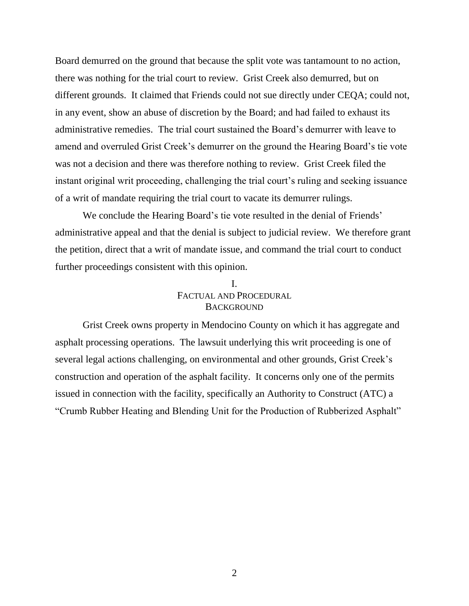Board demurred on the ground that because the split vote was tantamount to no action, there was nothing for the trial court to review. Grist Creek also demurred, but on different grounds. It claimed that Friends could not sue directly under CEQA; could not, in any event, show an abuse of discretion by the Board; and had failed to exhaust its administrative remedies. The trial court sustained the Board"s demurrer with leave to amend and overruled Grist Creek"s demurrer on the ground the Hearing Board"s tie vote was not a decision and there was therefore nothing to review. Grist Creek filed the instant original writ proceeding, challenging the trial court's ruling and seeking issuance of a writ of mandate requiring the trial court to vacate its demurrer rulings.

We conclude the Hearing Board's tie vote resulted in the denial of Friends' administrative appeal and that the denial is subject to judicial review. We therefore grant the petition, direct that a writ of mandate issue, and command the trial court to conduct further proceedings consistent with this opinion.

## I. FACTUAL AND PROCEDURAL **BACKGROUND**

Grist Creek owns property in Mendocino County on which it has aggregate and asphalt processing operations. The lawsuit underlying this writ proceeding is one of several legal actions challenging, on environmental and other grounds, Grist Creek"s construction and operation of the asphalt facility. It concerns only one of the permits issued in connection with the facility, specifically an Authority to Construct (ATC) a "Crumb Rubber Heating and Blending Unit for the Production of Rubberized Asphalt"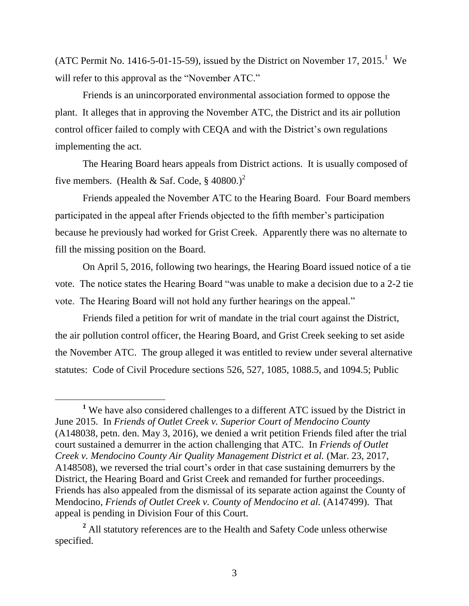(ATC Permit No. 1416-5-01-15-59), issued by the District on November 17, 2015.<sup>1</sup> We will refer to this approval as the "November ATC."

Friends is an unincorporated environmental association formed to oppose the plant. It alleges that in approving the November ATC, the District and its air pollution control officer failed to comply with CEQA and with the District's own regulations implementing the act.

The Hearing Board hears appeals from District actions. It is usually composed of five members. (Health & Saf. Code,  $\S$  40800.)<sup>2</sup>

Friends appealed the November ATC to the Hearing Board. Four Board members participated in the appeal after Friends objected to the fifth member"s participation because he previously had worked for Grist Creek. Apparently there was no alternate to fill the missing position on the Board.

On April 5, 2016, following two hearings, the Hearing Board issued notice of a tie vote. The notice states the Hearing Board "was unable to make a decision due to a 2-2 tie vote. The Hearing Board will not hold any further hearings on the appeal."

Friends filed a petition for writ of mandate in the trial court against the District, the air pollution control officer, the Hearing Board, and Grist Creek seeking to set aside the November ATC. The group alleged it was entitled to review under several alternative statutes: Code of Civil Procedure sections 526, 527, 1085, 1088.5, and 1094.5; Public

**<sup>1</sup>** We have also considered challenges to a different ATC issued by the District in June 2015. In *Friends of Outlet Creek v. Superior Court of Mendocino County* (A148038, petn. den. May 3, 2016), we denied a writ petition Friends filed after the trial court sustained a demurrer in the action challenging that ATC. In *Friends of Outlet Creek v. Mendocino County Air Quality Management District et al.* (Mar. 23, 2017, A148508), we reversed the trial court"s order in that case sustaining demurrers by the District, the Hearing Board and Grist Creek and remanded for further proceedings. Friends has also appealed from the dismissal of its separate action against the County of Mendocino, *Friends of Outlet Creek v. County of Mendocino et al.* (A147499). That appeal is pending in Division Four of this Court.

**<sup>2</sup>** All statutory references are to the Health and Safety Code unless otherwise specified.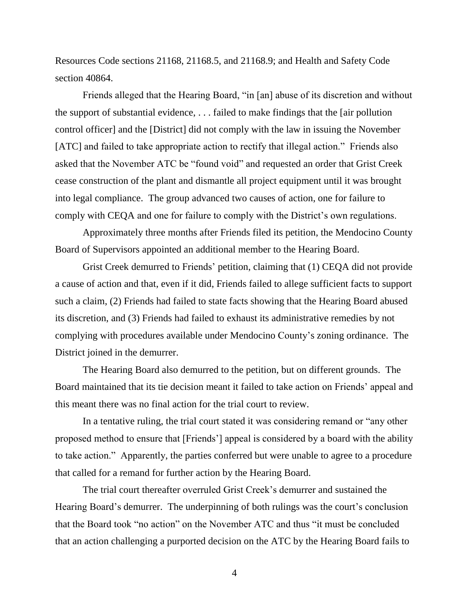Resources Code sections 21168, 21168.5, and 21168.9; and Health and Safety Code section 40864.

Friends alleged that the Hearing Board, "in [an] abuse of its discretion and without the support of substantial evidence, . . . failed to make findings that the [air pollution control officer] and the [District] did not comply with the law in issuing the November [ATC] and failed to take appropriate action to rectify that illegal action." Friends also asked that the November ATC be "found void" and requested an order that Grist Creek cease construction of the plant and dismantle all project equipment until it was brought into legal compliance. The group advanced two causes of action, one for failure to comply with CEQA and one for failure to comply with the District's own regulations.

Approximately three months after Friends filed its petition, the Mendocino County Board of Supervisors appointed an additional member to the Hearing Board.

Grist Creek demurred to Friends" petition, claiming that (1) CEQA did not provide a cause of action and that, even if it did, Friends failed to allege sufficient facts to support such a claim, (2) Friends had failed to state facts showing that the Hearing Board abused its discretion, and (3) Friends had failed to exhaust its administrative remedies by not complying with procedures available under Mendocino County"s zoning ordinance. The District joined in the demurrer.

The Hearing Board also demurred to the petition, but on different grounds. The Board maintained that its tie decision meant it failed to take action on Friends" appeal and this meant there was no final action for the trial court to review.

In a tentative ruling, the trial court stated it was considering remand or "any other proposed method to ensure that [Friends"] appeal is considered by a board with the ability to take action." Apparently, the parties conferred but were unable to agree to a procedure that called for a remand for further action by the Hearing Board.

The trial court thereafter overruled Grist Creek"s demurrer and sustained the Hearing Board's demurrer. The underpinning of both rulings was the court's conclusion that the Board took "no action" on the November ATC and thus "it must be concluded that an action challenging a purported decision on the ATC by the Hearing Board fails to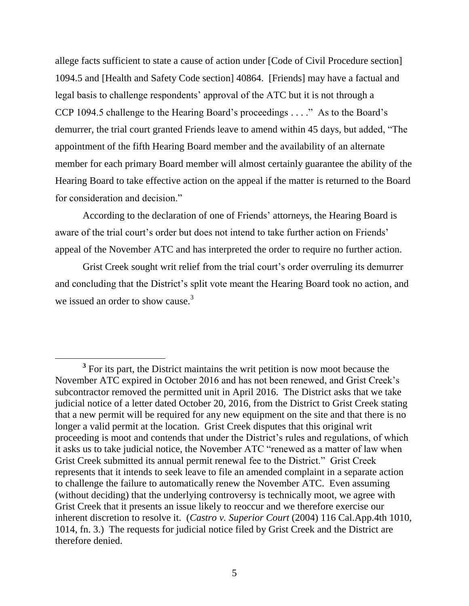allege facts sufficient to state a cause of action under [Code of Civil Procedure section] 1094.5 and [Health and Safety Code section] 40864. [Friends] may have a factual and legal basis to challenge respondents' approval of the ATC but it is not through a CCP 1094.5 challenge to the Hearing Board"s proceedings . . . ." As to the Board"s demurrer, the trial court granted Friends leave to amend within 45 days, but added, "The appointment of the fifth Hearing Board member and the availability of an alternate member for each primary Board member will almost certainly guarantee the ability of the Hearing Board to take effective action on the appeal if the matter is returned to the Board for consideration and decision."

According to the declaration of one of Friends" attorneys, the Hearing Board is aware of the trial court's order but does not intend to take further action on Friends' appeal of the November ATC and has interpreted the order to require no further action.

Grist Creek sought writ relief from the trial court's order overruling its demurrer and concluding that the District's split vote meant the Hearing Board took no action, and we issued an order to show cause.<sup>3</sup>

 $\overline{a}$ <sup>3</sup> For its part, the District maintains the writ petition is now moot because the November ATC expired in October 2016 and has not been renewed, and Grist Creek"s subcontractor removed the permitted unit in April 2016. The District asks that we take judicial notice of a letter dated October 20, 2016, from the District to Grist Creek stating that a new permit will be required for any new equipment on the site and that there is no longer a valid permit at the location. Grist Creek disputes that this original writ proceeding is moot and contends that under the District"s rules and regulations, of which it asks us to take judicial notice, the November ATC "renewed as a matter of law when Grist Creek submitted its annual permit renewal fee to the District." Grist Creek represents that it intends to seek leave to file an amended complaint in a separate action to challenge the failure to automatically renew the November ATC. Even assuming (without deciding) that the underlying controversy is technically moot, we agree with Grist Creek that it presents an issue likely to reoccur and we therefore exercise our inherent discretion to resolve it. (*Castro v. Superior Court* (2004) 116 Cal.App.4th 1010, 1014, fn. 3.) The requests for judicial notice filed by Grist Creek and the District are therefore denied.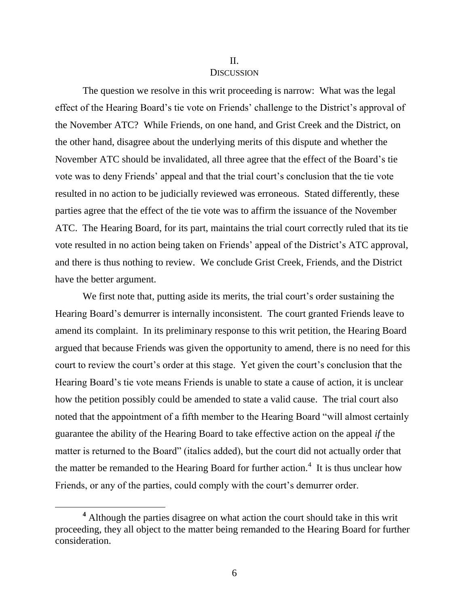#### II.

#### **DISCUSSION**

The question we resolve in this writ proceeding is narrow: What was the legal effect of the Hearing Board's tie vote on Friends' challenge to the District's approval of the November ATC? While Friends, on one hand, and Grist Creek and the District, on the other hand, disagree about the underlying merits of this dispute and whether the November ATC should be invalidated, all three agree that the effect of the Board"s tie vote was to deny Friends" appeal and that the trial court"s conclusion that the tie vote resulted in no action to be judicially reviewed was erroneous. Stated differently, these parties agree that the effect of the tie vote was to affirm the issuance of the November ATC. The Hearing Board, for its part, maintains the trial court correctly ruled that its tie vote resulted in no action being taken on Friends" appeal of the District"s ATC approval, and there is thus nothing to review. We conclude Grist Creek, Friends, and the District have the better argument.

We first note that, putting aside its merits, the trial court's order sustaining the Hearing Board"s demurrer is internally inconsistent. The court granted Friends leave to amend its complaint. In its preliminary response to this writ petition, the Hearing Board argued that because Friends was given the opportunity to amend, there is no need for this court to review the court's order at this stage. Yet given the court's conclusion that the Hearing Board"s tie vote means Friends is unable to state a cause of action, it is unclear how the petition possibly could be amended to state a valid cause. The trial court also noted that the appointment of a fifth member to the Hearing Board "will almost certainly guarantee the ability of the Hearing Board to take effective action on the appeal *if* the matter is returned to the Board" (italics added), but the court did not actually order that the matter be remanded to the Hearing Board for further action.<sup>4</sup> It is thus unclear how Friends, or any of the parties, could comply with the court's demurrer order.

**<sup>4</sup>** Although the parties disagree on what action the court should take in this writ proceeding, they all object to the matter being remanded to the Hearing Board for further consideration.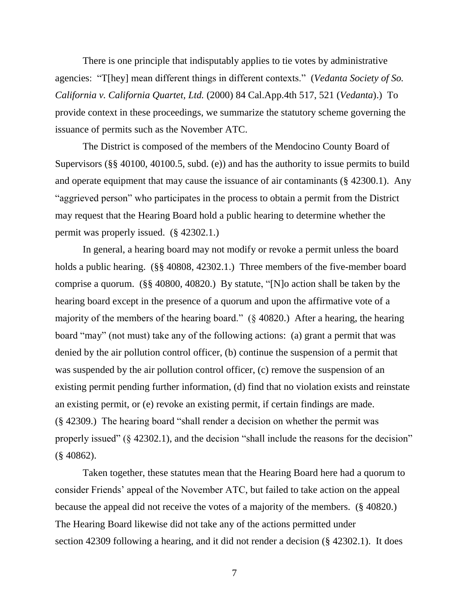There is one principle that indisputably applies to tie votes by administrative agencies: "T[hey] mean different things in different contexts." (*Vedanta Society of So. California v. California Quartet, Ltd.* (2000) 84 Cal.App.4th 517, 521 (*Vedanta*).) To provide context in these proceedings, we summarize the statutory scheme governing the issuance of permits such as the November ATC.

The District is composed of the members of the Mendocino County Board of Supervisors (§§ 40100, 40100.5, subd. (e)) and has the authority to issue permits to build and operate equipment that may cause the issuance of air contaminants (§ 42300.1). Any "aggrieved person" who participates in the process to obtain a permit from the District may request that the Hearing Board hold a public hearing to determine whether the permit was properly issued. (§ 42302.1.)

In general, a hearing board may not modify or revoke a permit unless the board holds a public hearing. (§§ 40808, 42302.1.) Three members of the five-member board comprise a quorum. (§§ 40800, 40820.) By statute, "[N]o action shall be taken by the hearing board except in the presence of a quorum and upon the affirmative vote of a majority of the members of the hearing board." (§ 40820.) After a hearing, the hearing board "may" (not must) take any of the following actions: (a) grant a permit that was denied by the air pollution control officer, (b) continue the suspension of a permit that was suspended by the air pollution control officer, (c) remove the suspension of an existing permit pending further information, (d) find that no violation exists and reinstate an existing permit, or (e) revoke an existing permit, if certain findings are made. (§ 42309.) The hearing board "shall render a decision on whether the permit was properly issued"  $(\S$  42302.1), and the decision "shall include the reasons for the decision" (§ 40862).

Taken together, these statutes mean that the Hearing Board here had a quorum to consider Friends" appeal of the November ATC, but failed to take action on the appeal because the appeal did not receive the votes of a majority of the members. (§ 40820.) The Hearing Board likewise did not take any of the actions permitted under section 42309 following a hearing, and it did not render a decision (§ 42302.1). It does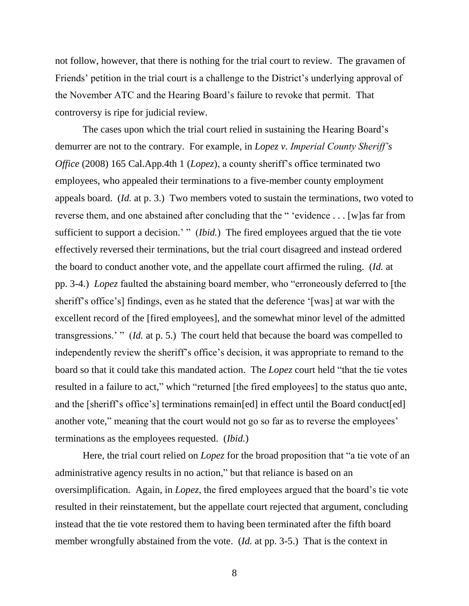not follow, however, that there is nothing for the trial court to review. The gravamen of Friends' petition in the trial court is a challenge to the District's underlying approval of the November ATC and the Hearing Board"s failure to revoke that permit. That controversy is ripe for judicial review.

The cases upon which the trial court relied in sustaining the Hearing Board's demurrer are not to the contrary. For example, in *Lopez v. Imperial County Sheriff's Office* (2008) 165 Cal.App.4th 1 (*Lopez*), a county sheriff's office terminated two employees, who appealed their terminations to a five-member county employment appeals board. (*Id.* at p. 3.) Two members voted to sustain the terminations, two voted to reverse them, and one abstained after concluding that the " "evidence . . . [w]as far from sufficient to support a decision.' " *(Ibid.)* The fired employees argued that the tie vote effectively reversed their terminations, but the trial court disagreed and instead ordered the board to conduct another vote, and the appellate court affirmed the ruling. (*Id.* at pp. 3-4.) *Lopez* faulted the abstaining board member, who "erroneously deferred to [the sheriff"s office"s] findings, even as he stated that the deference "[was] at war with the excellent record of the [fired employees], and the somewhat minor level of the admitted transgressions." " (*Id.* at p. 5.) The court held that because the board was compelled to independently review the sheriff's office's decision, it was appropriate to remand to the board so that it could take this mandated action. The *Lopez* court held "that the tie votes resulted in a failure to act," which "returned [the fired employees] to the status quo ante, and the [sheriff's office's] terminations remain[ed] in effect until the Board conduct[ed] another vote," meaning that the court would not go so far as to reverse the employees' terminations as the employees requested. (*Ibid.*)

Here, the trial court relied on *Lopez* for the broad proposition that "a tie vote of an administrative agency results in no action," but that reliance is based on an oversimplification. Again, in *Lopez*, the fired employees argued that the board"s tie vote resulted in their reinstatement, but the appellate court rejected that argument, concluding instead that the tie vote restored them to having been terminated after the fifth board member wrongfully abstained from the vote. (*Id.* at pp. 3-5.) That is the context in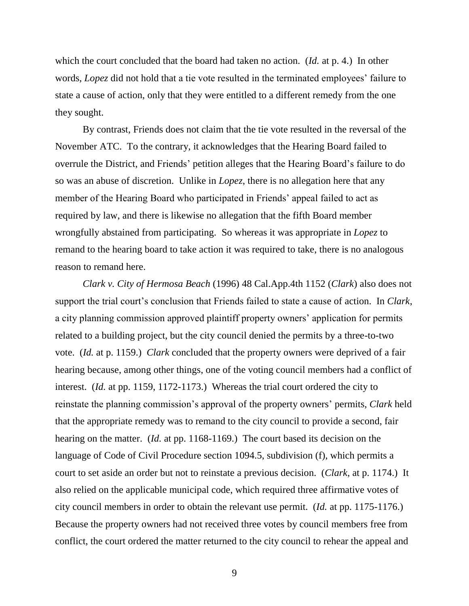which the court concluded that the board had taken no action. (*Id.* at p. 4.) In other words, *Lopez* did not hold that a tie vote resulted in the terminated employees' failure to state a cause of action, only that they were entitled to a different remedy from the one they sought.

By contrast, Friends does not claim that the tie vote resulted in the reversal of the November ATC. To the contrary, it acknowledges that the Hearing Board failed to overrule the District, and Friends" petition alleges that the Hearing Board"s failure to do so was an abuse of discretion. Unlike in *Lopez*, there is no allegation here that any member of the Hearing Board who participated in Friends' appeal failed to act as required by law, and there is likewise no allegation that the fifth Board member wrongfully abstained from participating. So whereas it was appropriate in *Lopez* to remand to the hearing board to take action it was required to take, there is no analogous reason to remand here.

*Clark v. City of Hermosa Beach* (1996) 48 Cal.App.4th 1152 (*Clark*) also does not support the trial court"s conclusion that Friends failed to state a cause of action. In *Clark*, a city planning commission approved plaintiff property owners' application for permits related to a building project, but the city council denied the permits by a three-to-two vote. (*Id.* at p. 1159.) *Clark* concluded that the property owners were deprived of a fair hearing because, among other things, one of the voting council members had a conflict of interest. (*Id.* at pp. 1159, 1172-1173.) Whereas the trial court ordered the city to reinstate the planning commission"s approval of the property owners" permits, *Clark* held that the appropriate remedy was to remand to the city council to provide a second, fair hearing on the matter. (*Id.* at pp. 1168-1169.) The court based its decision on the language of Code of Civil Procedure section 1094.5, subdivision (f), which permits a court to set aside an order but not to reinstate a previous decision. (*Clark*, at p. 1174.) It also relied on the applicable municipal code, which required three affirmative votes of city council members in order to obtain the relevant use permit. (*Id.* at pp. 1175-1176.) Because the property owners had not received three votes by council members free from conflict, the court ordered the matter returned to the city council to rehear the appeal and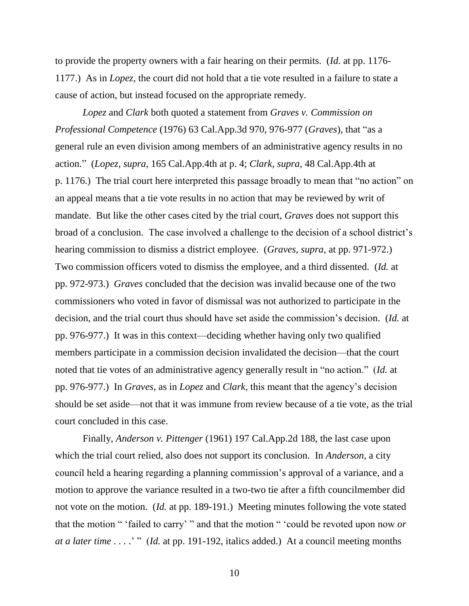to provide the property owners with a fair hearing on their permits. (*Id.* at pp. 1176- 1177.) As in *Lopez*, the court did not hold that a tie vote resulted in a failure to state a cause of action, but instead focused on the appropriate remedy.

*Lopez* and *Clark* both quoted a statement from *Graves v. Commission on Professional Competence* (1976) 63 Cal.App.3d 970, 976-977 (*Graves*), that "as a general rule an even division among members of an administrative agency results in no action." (*Lopez*, *supra*, 165 Cal.App.4th at p. 4; *Clark*, *supra*, 48 Cal.App.4th at p. 1176.) The trial court here interpreted this passage broadly to mean that "no action" on an appeal means that a tie vote results in no action that may be reviewed by writ of mandate. But like the other cases cited by the trial court, *Graves* does not support this broad of a conclusion. The case involved a challenge to the decision of a school district"s hearing commission to dismiss a district employee. (*Graves*, *supra*, at pp. 971-972.) Two commission officers voted to dismiss the employee, and a third dissented. (*Id.* at pp. 972-973.) *Graves* concluded that the decision was invalid because one of the two commissioners who voted in favor of dismissal was not authorized to participate in the decision, and the trial court thus should have set aside the commission"s decision. (*Id.* at pp. 976-977.) It was in this context—deciding whether having only two qualified members participate in a commission decision invalidated the decision—that the court noted that tie votes of an administrative agency generally result in "no action." (*Id.* at pp. 976-977.) In *Graves*, as in *Lopez* and *Clark*, this meant that the agency"s decision should be set aside—not that it was immune from review because of a tie vote, as the trial court concluded in this case.

Finally, *Anderson v. Pittenger* (1961) 197 Cal.App.2d 188, the last case upon which the trial court relied, also does not support its conclusion. In *Anderson*, a city council held a hearing regarding a planning commission"s approval of a variance, and a motion to approve the variance resulted in a two-two tie after a fifth councilmember did not vote on the motion. (*Id.* at pp. 189-191.) Meeting minutes following the vote stated that the motion " "failed to carry" " and that the motion " "could be revoted upon now *or at a later time* . . . ." " (*Id.* at pp. 191-192, italics added.) At a council meeting months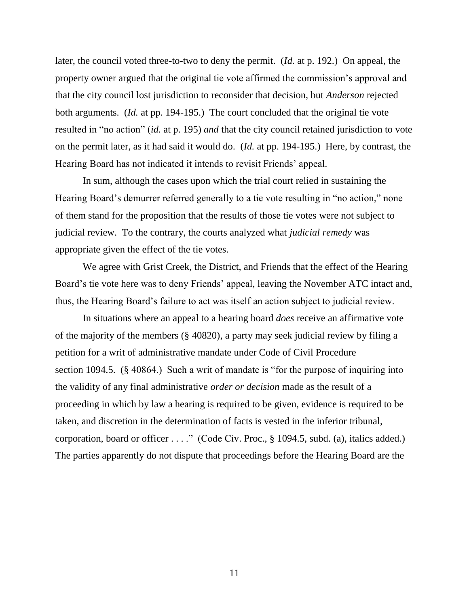later, the council voted three-to-two to deny the permit. (*Id.* at p. 192.) On appeal, the property owner argued that the original tie vote affirmed the commission"s approval and that the city council lost jurisdiction to reconsider that decision, but *Anderson* rejected both arguments. (*Id.* at pp. 194-195.) The court concluded that the original tie vote resulted in "no action" (*id.* at p. 195) *and* that the city council retained jurisdiction to vote on the permit later, as it had said it would do. (*Id.* at pp. 194-195.) Here, by contrast, the Hearing Board has not indicated it intends to revisit Friends" appeal.

In sum, although the cases upon which the trial court relied in sustaining the Hearing Board"s demurrer referred generally to a tie vote resulting in "no action," none of them stand for the proposition that the results of those tie votes were not subject to judicial review. To the contrary, the courts analyzed what *judicial remedy* was appropriate given the effect of the tie votes.

We agree with Grist Creek, the District, and Friends that the effect of the Hearing Board's tie vote here was to deny Friends' appeal, leaving the November ATC intact and, thus, the Hearing Board"s failure to act was itself an action subject to judicial review.

In situations where an appeal to a hearing board *does* receive an affirmative vote of the majority of the members (§ 40820), a party may seek judicial review by filing a petition for a writ of administrative mandate under Code of Civil Procedure section 1094.5. (§ 40864.) Such a writ of mandate is "for the purpose of inquiring into the validity of any final administrative *order or decision* made as the result of a proceeding in which by law a hearing is required to be given, evidence is required to be taken, and discretion in the determination of facts is vested in the inferior tribunal, corporation, board or officer . . . ." (Code Civ. Proc., § 1094.5, subd. (a), italics added.) The parties apparently do not dispute that proceedings before the Hearing Board are the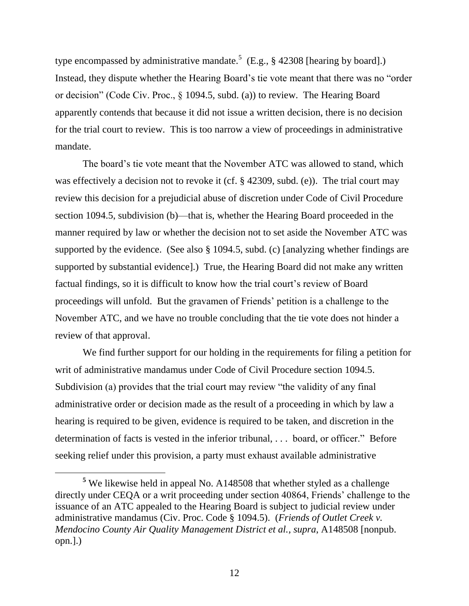type encompassed by administrative mandate.<sup>5</sup> (E.g., § 42308 [hearing by board].) Instead, they dispute whether the Hearing Board"s tie vote meant that there was no "order or decision" (Code Civ. Proc., § 1094.5, subd. (a)) to review. The Hearing Board apparently contends that because it did not issue a written decision, there is no decision for the trial court to review. This is too narrow a view of proceedings in administrative mandate.

The board"s tie vote meant that the November ATC was allowed to stand, which was effectively a decision not to revoke it (cf. § 42309, subd. (e)). The trial court may review this decision for a prejudicial abuse of discretion under Code of Civil Procedure section 1094.5, subdivision (b)—that is, whether the Hearing Board proceeded in the manner required by law or whether the decision not to set aside the November ATC was supported by the evidence. (See also § 1094.5, subd. (c) [analyzing whether findings are supported by substantial evidence].) True, the Hearing Board did not make any written factual findings, so it is difficult to know how the trial court's review of Board proceedings will unfold. But the gravamen of Friends" petition is a challenge to the November ATC, and we have no trouble concluding that the tie vote does not hinder a review of that approval.

We find further support for our holding in the requirements for filing a petition for writ of administrative mandamus under Code of Civil Procedure section 1094.5. Subdivision (a) provides that the trial court may review "the validity of any final administrative order or decision made as the result of a proceeding in which by law a hearing is required to be given, evidence is required to be taken, and discretion in the determination of facts is vested in the inferior tribunal, . . . board, or officer." Before seeking relief under this provision, a party must exhaust available administrative

**<sup>5</sup>** We likewise held in appeal No. A148508 that whether styled as a challenge directly under CEQA or a writ proceeding under section 40864, Friends" challenge to the issuance of an ATC appealed to the Hearing Board is subject to judicial review under administrative mandamus (Civ. Proc. Code § 1094.5). (*Friends of Outlet Creek v. Mendocino County Air Quality Management District et al., supra*, A148508 [nonpub. opn.].)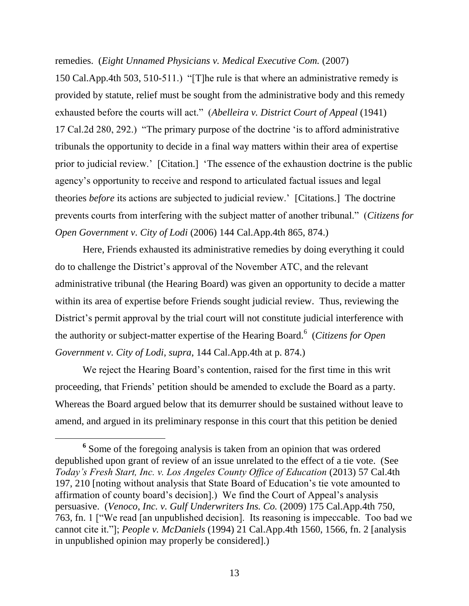remedies. (*Eight Unnamed Physicians v. Medical Executive Com.* (2007)

150 Cal.App.4th 503, 510-511.) "[T]he rule is that where an administrative remedy is provided by statute, relief must be sought from the administrative body and this remedy exhausted before the courts will act." (*Abelleira v. District Court of Appeal* (1941) 17 Cal.2d 280, 292.) "The primary purpose of the doctrine "is to afford administrative tribunals the opportunity to decide in a final way matters within their area of expertise prior to judicial review." [Citation.] "The essence of the exhaustion doctrine is the public agency"s opportunity to receive and respond to articulated factual issues and legal theories *before* its actions are subjected to judicial review." [Citations.] The doctrine prevents courts from interfering with the subject matter of another tribunal." (*Citizens for Open Government v. City of Lodi* (2006) 144 Cal.App.4th 865, 874.)

Here, Friends exhausted its administrative remedies by doing everything it could do to challenge the District"s approval of the November ATC, and the relevant administrative tribunal (the Hearing Board) was given an opportunity to decide a matter within its area of expertise before Friends sought judicial review. Thus, reviewing the District's permit approval by the trial court will not constitute judicial interference with the authority or subject-matter expertise of the Hearing Board. 6 (*Citizens for Open Government v. City of Lodi*, *supra*, 144 Cal.App.4th at p. 874.)

We reject the Hearing Board's contention, raised for the first time in this writ proceeding, that Friends" petition should be amended to exclude the Board as a party. Whereas the Board argued below that its demurrer should be sustained without leave to amend, and argued in its preliminary response in this court that this petition be denied

 $\overline{a}$ 

<sup>&</sup>lt;sup>6</sup> Some of the foregoing analysis is taken from an opinion that was ordered depublished upon grant of review of an issue unrelated to the effect of a tie vote. (See *Today's Fresh Start, Inc. v. Los Angeles County Office of Education* (2013) 57 Cal.4th 197, 210 [noting without analysis that State Board of Education"s tie vote amounted to affirmation of county board"s decision].) We find the Court of Appeal"s analysis persuasive. (*Venoco, Inc. v. Gulf Underwriters Ins. Co.* (2009) 175 Cal.App.4th 750, 763, fn. 1 ["We read [an unpublished decision]. Its reasoning is impeccable. Too bad we cannot cite it."]; *People v. McDaniels* (1994) 21 Cal.App.4th 1560, 1566, fn. 2 [analysis in unpublished opinion may properly be considered].)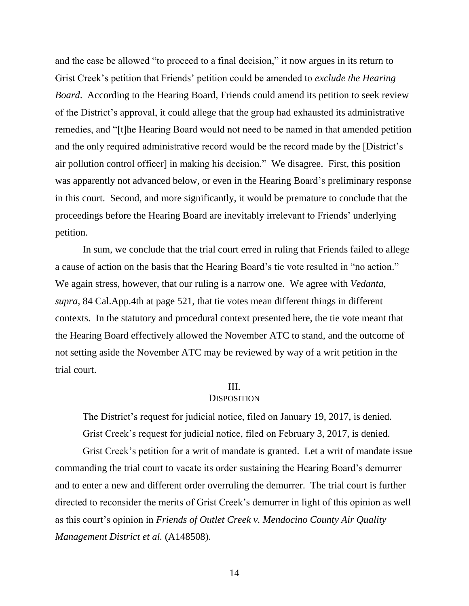and the case be allowed "to proceed to a final decision," it now argues in its return to Grist Creek"s petition that Friends" petition could be amended to *exclude the Hearing Board*. According to the Hearing Board, Friends could amend its petition to seek review of the District"s approval, it could allege that the group had exhausted its administrative remedies, and "[t]he Hearing Board would not need to be named in that amended petition and the only required administrative record would be the record made by the [District's air pollution control officer] in making his decision." We disagree. First, this position was apparently not advanced below, or even in the Hearing Board"s preliminary response in this court. Second, and more significantly, it would be premature to conclude that the proceedings before the Hearing Board are inevitably irrelevant to Friends" underlying petition.

In sum, we conclude that the trial court erred in ruling that Friends failed to allege a cause of action on the basis that the Hearing Board"s tie vote resulted in "no action." We again stress, however, that our ruling is a narrow one. We agree with *Vedanta*, *supra*, 84 Cal.App.4th at page 521, that tie votes mean different things in different contexts. In the statutory and procedural context presented here, the tie vote meant that the Hearing Board effectively allowed the November ATC to stand, and the outcome of not setting aside the November ATC may be reviewed by way of a writ petition in the trial court.

#### III.

#### **DISPOSITION**

The District's request for judicial notice, filed on January 19, 2017, is denied. Grist Creek's request for judicial notice, filed on February 3, 2017, is denied.

Grist Creek"s petition for a writ of mandate is granted. Let a writ of mandate issue commanding the trial court to vacate its order sustaining the Hearing Board"s demurrer and to enter a new and different order overruling the demurrer. The trial court is further directed to reconsider the merits of Grist Creek"s demurrer in light of this opinion as well as this court's opinion in *Friends of Outlet Creek v. Mendocino County Air Quality Management District et al.* (A148508).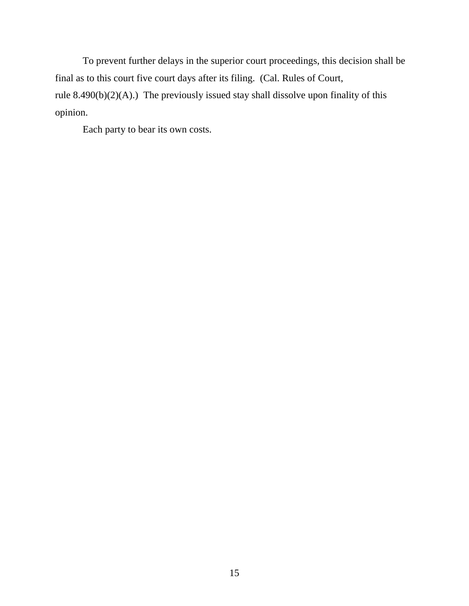To prevent further delays in the superior court proceedings, this decision shall be final as to this court five court days after its filing. (Cal. Rules of Court, rule 8.490(b)(2)(A).) The previously issued stay shall dissolve upon finality of this opinion.

Each party to bear its own costs.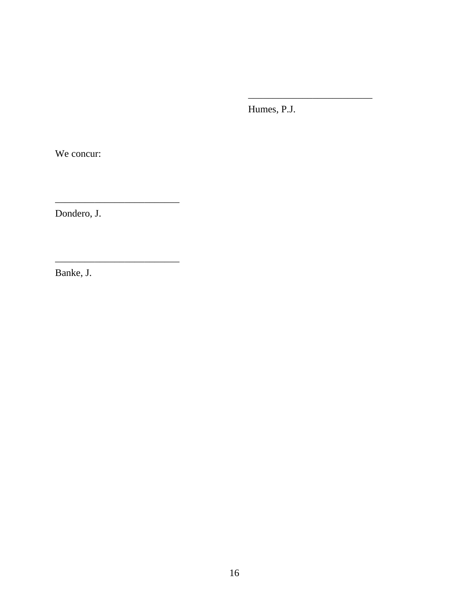Humes, P.J.

We concur:

Dondero, J.

Banke, J.